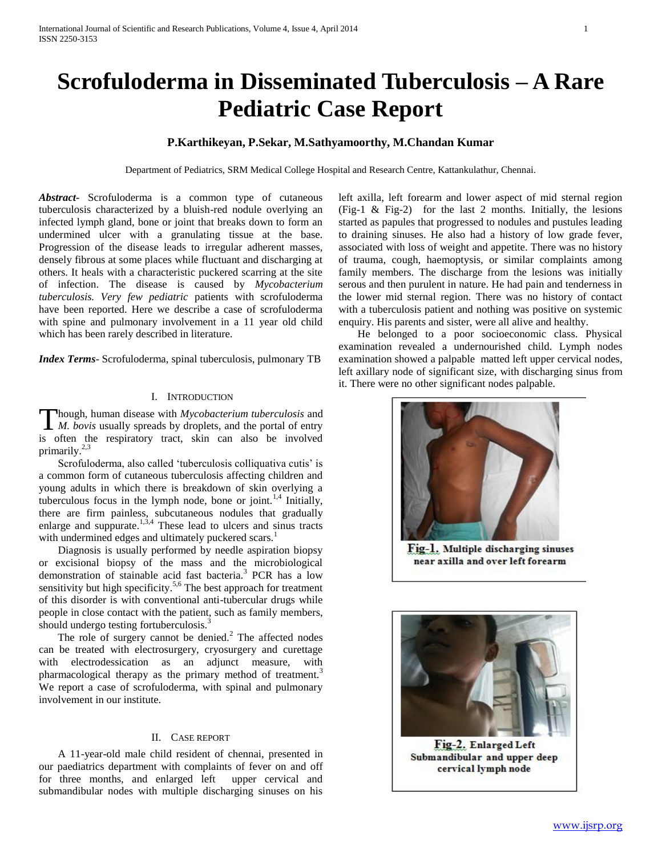# **Scrofuloderma in Disseminated Tuberculosis – A Rare Pediatric Case Report**

## **P.Karthikeyan, P.Sekar, M.Sathyamoorthy, M.Chandan Kumar**

Department of Pediatrics, SRM Medical College Hospital and Research Centre, Kattankulathur, Chennai.

*Abstract***-** Scrofuloderma is a common type of cutaneous tuberculosis characterized by a bluish-red nodule overlying an infected lymph gland, bone or joint that breaks down to form an undermined ulcer with a granulating tissue at the base. Progression of the disease leads to irregular adherent masses, densely fibrous at some places while fluctuant and discharging at others. It heals with a characteristic puckered scarring at the site of infection. The disease is caused by *Mycobacterium tuberculosis. Very few pediatric* patients with scrofuloderma have been reported. Here we describe a case of scrofuloderma with spine and pulmonary involvement in a 11 year old child which has been rarely described in literature.

*Index Terms*- Scrofuloderma, spinal tuberculosis, pulmonary TB

#### I. INTRODUCTION

hough, human disease with *Mycobacterium tuberculosis* and **Though, human disease with** *Mycobacterium tuberculosis* and *M. bovis* usually spreads by droplets, and the portal of entry is often the respiratory tract, skin can also be involved primarily.<sup>2,3</sup>

 Scrofuloderma, also called 'tuberculosis colliquativa cutis' is a common form of cutaneous tuberculosis affecting children and young adults in which there is breakdown of skin overlying a tuberculous focus in the lymph node, bone or joint.<sup>1,4</sup> Initially, there are firm painless, subcutaneous nodules that gradually enlarge and suppurate. $1,3,4$  These lead to ulcers and sinus tracts with undermined edges and ultimately puckered scars.<sup>1</sup>

 Diagnosis is usually performed by needle aspiration biopsy or excisional biopsy of the mass and the microbiological demonstration of stainable acid fast bacteria.<sup>3</sup> PCR has a low sensitivity but high specificity.<sup>5,6</sup> The best approach for treatment of this disorder is with conventional anti-tubercular drugs while people in close contact with the patient, such as family members, should undergo testing fortuberculosis.<sup>3</sup>

The role of surgery cannot be denied.<sup>2</sup> The affected nodes can be treated with electrosurgery, cryosurgery and curettage with electrodessication as an adjunct measure, with pharmacological therapy as the primary method of treatment.<sup>3</sup> We report a case of scrofuloderma, with spinal and pulmonary involvement in our institute.

## II. CASE REPORT

 A 11-year-old male child resident of chennai, presented in our paediatrics department with complaints of fever on and off for three months, and enlarged left upper cervical and submandibular nodes with multiple discharging sinuses on his

left axilla, left forearm and lower aspect of mid sternal region (Fig-1  $\&$  Fig-2) for the last 2 months. Initially, the lesions started as papules that progressed to nodules and pustules leading to draining sinuses. He also had a history of low grade fever, associated with loss of weight and appetite. There was no history of trauma, cough, haemoptysis, or similar complaints among family members. The discharge from the lesions was initially serous and then purulent in nature. He had pain and tenderness in the lower mid sternal region. There was no history of contact with a tuberculosis patient and nothing was positive on systemic enquiry. His parents and sister, were all alive and healthy.

 He belonged to a poor socioeconomic class. Physical examination revealed a undernourished child. Lymph nodes examination showed a palpable matted left upper cervical nodes, left axillary node of significant size, with discharging sinus from it. There were no other significant nodes palpable.



Fig-1. Multiple discharging sinuses near axilla and over left forearm



Fig-2. Enlarged Left Submandibular and upper deep cervical lymph node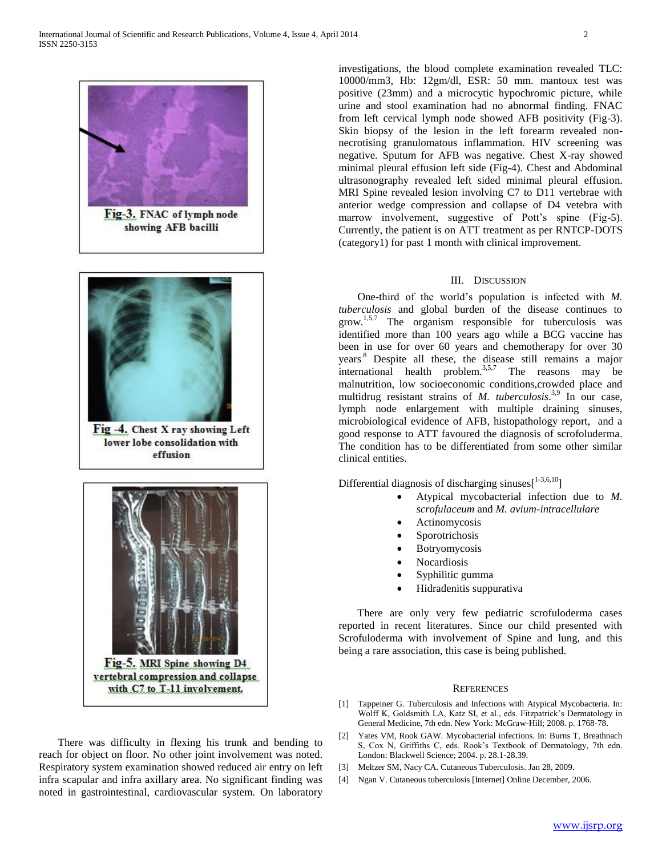



Fig -4. Chest X ray showing Left lower lobe consolidation with effusion



vertebral compression and collapse with C7 to T-11 involvement.

 There was difficulty in flexing his trunk and bending to reach for object on floor. No other joint involvement was noted. Respiratory system examination showed reduced air entry on left infra scapular and infra axillary area. No significant finding was noted in gastrointestinal, cardiovascular system. On laboratory

investigations, the blood complete examination revealed TLC: 10000/mm3, Hb: 12gm/dl, ESR: 50 mm. mantoux test was positive (23mm) and a microcytic hypochromic picture, while urine and stool examination had no abnormal finding. FNAC from left cervical lymph node showed AFB positivity (Fig-3). Skin biopsy of the lesion in the left forearm revealed nonnecrotising granulomatous inflammation. HIV screening was negative. Sputum for AFB was negative. Chest X-ray showed minimal pleural effusion left side (Fig-4). Chest and Abdominal ultrasonography revealed left sided minimal pleural effusion. MRI Spine revealed lesion involving C7 to D11 vertebrae with anterior wedge compression and collapse of D4 vetebra with marrow involvement, suggestive of Pott's spine (Fig-5). Currently, the patient is on ATT treatment as per RNTCP-DOTS (category1) for past 1 month with clinical improvement.

### III. DISCUSSION

 One-third of the world's population is infected with *M. tuberculosis* and global burden of the disease continues to grow.1,5,7 The organism responsible for tuberculosis was identified more than 100 years ago while a BCG vaccine has been in use for over 60 years and chemotherapy for over 30 years.8 Despite all these, the disease still remains a major international health problem.<sup>3,5,7</sup> The reasons may be malnutrition, low socioeconomic conditions,crowded place and multidrug resistant strains of *M. tuberculosis*. 3,9 In our case, lymph node enlargement with multiple draining sinuses, microbiological evidence of AFB, histopathology report, and a good response to ATT favoured the diagnosis of scrofoluderma. The condition has to be differentiated from some other similar clinical entities.

Differential diagnosis of discharging sinuses $[1-3,6,10]$ 

- Atypical mycobacterial infection due to *M. scrofulaceum* and *M. avium-intracellulare*
- Actinomycosis
- Sporotrichosis
- Botryomycosis
- **Nocardiosis**
- Syphilitic gumma
- Hidradenitis suppurativa

 There are only very few pediatric scrofuloderma cases reported in recent literatures. Since our child presented with Scrofuloderma with involvement of Spine and lung, and this being a rare association, this case is being published.

#### **REFERENCES**

- [1] Tappeiner G. Tuberculosis and Infections with Atypical Mycobacteria. In: Wolff K, Goldsmith LA, Katz SI, et al., eds. Fitzpatrick's Dermatology in General Medicine, 7th edn. New York: McGraw-Hill; 2008. p. 1768-78.
- [2] Yates VM, Rook GAW. Mycobacterial infections. In: Burns T, Breathnach S, Cox N, Griffiths C, eds. Rook's Textbook of Dermatology, 7th edn. London: Blackwell Science; 2004. p. 28.1-28.39.
- [3] Meltzer SM, Nacy CA. Cutaneous Tuberculosis. Jan 28, 2009.
- [4] Ngan V. Cutaneous tuberculosis [Internet] Online December, 2006.